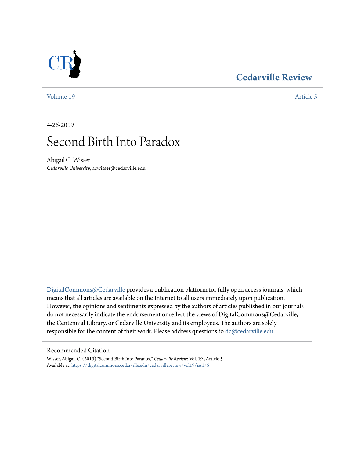### **[Cedarville Review](https://digitalcommons.cedarville.edu/cedarvillereview?utm_source=digitalcommons.cedarville.edu%2Fcedarvillereview%2Fvol19%2Fiss1%2F5&utm_medium=PDF&utm_campaign=PDFCoverPages)**



[Volume 19](https://digitalcommons.cedarville.edu/cedarvillereview/vol19?utm_source=digitalcommons.cedarville.edu%2Fcedarvillereview%2Fvol19%2Fiss1%2F5&utm_medium=PDF&utm_campaign=PDFCoverPages) [Article 5](https://digitalcommons.cedarville.edu/cedarvillereview/vol19/iss1/5?utm_source=digitalcommons.cedarville.edu%2Fcedarvillereview%2Fvol19%2Fiss1%2F5&utm_medium=PDF&utm_campaign=PDFCoverPages)

4-26-2019

# Second Birth Into Paradox

Abigail C. Wisser *Cedarville University*, acwisser@cedarville.edu

[DigitalCommons@Cedarville](http://digitalcommons.cedarville.edu/) provides a publication platform for fully open access journals, which means that all articles are available on the Internet to all users immediately upon publication. However, the opinions and sentiments expressed by the authors of articles published in our journals do not necessarily indicate the endorsement or reflect the views of DigitalCommons@Cedarville, the Centennial Library, or Cedarville University and its employees. The authors are solely responsible for the content of their work. Please address questions to [dc@cedarville.edu](mailto:dc@cedarville.edu).

#### Recommended Citation

Wisser, Abigail C. (2019) "Second Birth Into Paradox," *Cedarville Review*: Vol. 19 , Article 5. Available at: [https://digitalcommons.cedarville.edu/cedarvillereview/vol19/iss1/5](https://digitalcommons.cedarville.edu/cedarvillereview/vol19/iss1/5?utm_source=digitalcommons.cedarville.edu%2Fcedarvillereview%2Fvol19%2Fiss1%2F5&utm_medium=PDF&utm_campaign=PDFCoverPages)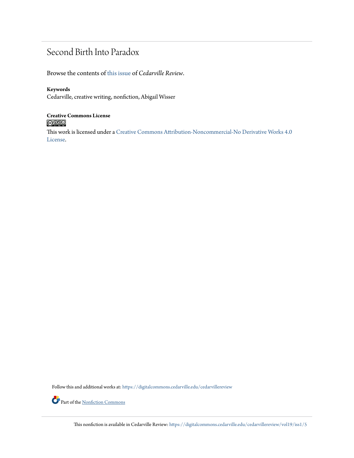## Second Birth Into Paradox

Browse the contents of [this issue](https://digitalcommons.cedarville.edu/cedarvillereview/vol19/iss1) of *Cedarville Review*.

### **Keywords**

Cedarville, creative writing, nonfiction, Abigail Wisser

# **Creative Commons License**

This work is licensed under a [Creative Commons Attribution-Noncommercial-No Derivative Works 4.0](http://creativecommons.org/licenses/by-nc-nd/4.0/) [License.](http://creativecommons.org/licenses/by-nc-nd/4.0/)

Follow this and additional works at: [https://digitalcommons.cedarville.edu/cedarvillereview](https://digitalcommons.cedarville.edu/cedarvillereview?utm_source=digitalcommons.cedarville.edu%2Fcedarvillereview%2Fvol19%2Fiss1%2F5&utm_medium=PDF&utm_campaign=PDFCoverPages)

Part of the <u>[Nonfiction Commons](http://network.bepress.com/hgg/discipline/1152?utm_source=digitalcommons.cedarville.edu%2Fcedarvillereview%2Fvol19%2Fiss1%2F5&utm_medium=PDF&utm_campaign=PDFCoverPages)</u>

This nonfiction is available in Cedarville Review: [https://digitalcommons.cedarville.edu/cedarvillereview/vol19/iss1/5](https://digitalcommons.cedarville.edu/cedarvillereview/vol19/iss1/5?utm_source=digitalcommons.cedarville.edu%2Fcedarvillereview%2Fvol19%2Fiss1%2F5&utm_medium=PDF&utm_campaign=PDFCoverPages)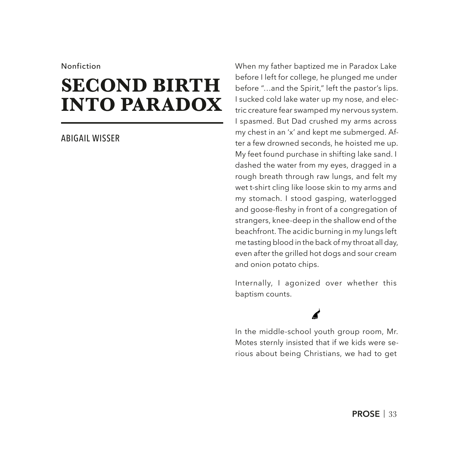#### Nonfiction

# **SECOND BIRTH INTO PARADOX**

#### ABIGAIL WISSER

When my father baptized me in Paradox Lake before I left for college, he plunged me under before "…and the Spirit," left the pastor's lips. I sucked cold lake water up my nose, and electric creature fear swamped my nervous system. I spasmed. But Dad crushed my arms across my chest in an 'x' and kept me submerged. After a few drowned seconds, he hoisted me up. My feet found purchase in shifting lake sand. I dashed the water from my eyes, dragged in a rough breath through raw lungs, and felt my wet t-shirt cling like loose skin to my arms and my stomach. I stood gasping, waterlogged and goose-feshy in front of a congregation of strangers, knee-deep in the shallow end of the beachfront. The acidic burning in my lungs left me tasting blood in the back of my throat all day, even after the grilled hot dogs and sour cream and onion potato chips.

Internally, I agonized over whether this baptism counts.

In the middle-school youth group room, Mr. Motes sternly insisted that if we kids were serious about being Christians, we had to get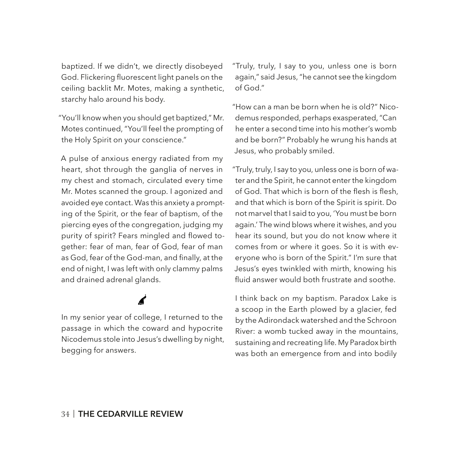baptized. If we didn't, we directly disobeyed God. Flickering fuorescent light panels on the ceiling backlit Mr. Motes, making a synthetic, starchy halo around his body.

"You'll know when you should get baptized," Mr. Motes continued, "You'll feel the prompting of the Holy Spirit on your conscience."

A pulse of anxious energy radiated from my heart, shot through the ganglia of nerves in my chest and stomach, circulated every time Mr. Motes scanned the group. I agonized and avoided eye contact. Was this anxiety a prompting of the Spirit, or the fear of baptism, of the piercing eyes of the congregation, judging my purity of spirit? Fears mingled and flowed together: fear of man, fear of God, fear of man as God, fear of the God-man, and finally, at the end of night, I was left with only clammy palms and drained adrenal glands.

### In my senior year of college, I returned to the passage in which the coward and hypocrite Nicodemus stole into Jesus's dwelling by night, begging for answers.

"Truly, truly, I say to you, unless one is born again," said Jesus, "he cannot see the kingdom of God."

"How can a man be born when he is old?" Nicodemus responded, perhaps exasperated, "Can he enter a second time into his mother's womb and be born?" Probably he wrung his hands at Jesus, who probably smiled.

"Truly, truly, I say to you, unless one is born of water and the Spirit, he cannot enter the kingdom of God. That which is born of the flesh is flesh, and that which is born of the Spirit is spirit. Do not marvel that I said to you, 'You must be born again.' The wind blows where it wishes, and you hear its sound, but you do not know where it comes from or where it goes. So it is with everyone who is born of the Spirit." I'm sure that Jesus's eyes twinkled with mirth, knowing his fuid answer would both frustrate and soothe.

I think back on my baptism. Paradox Lake is a scoop in the Earth plowed by a glacier, fed by the Adirondack watershed and the Schroon River: a womb tucked away in the mountains, sustaining and recreating life. My Paradox birth was both an emergence from and into bodily